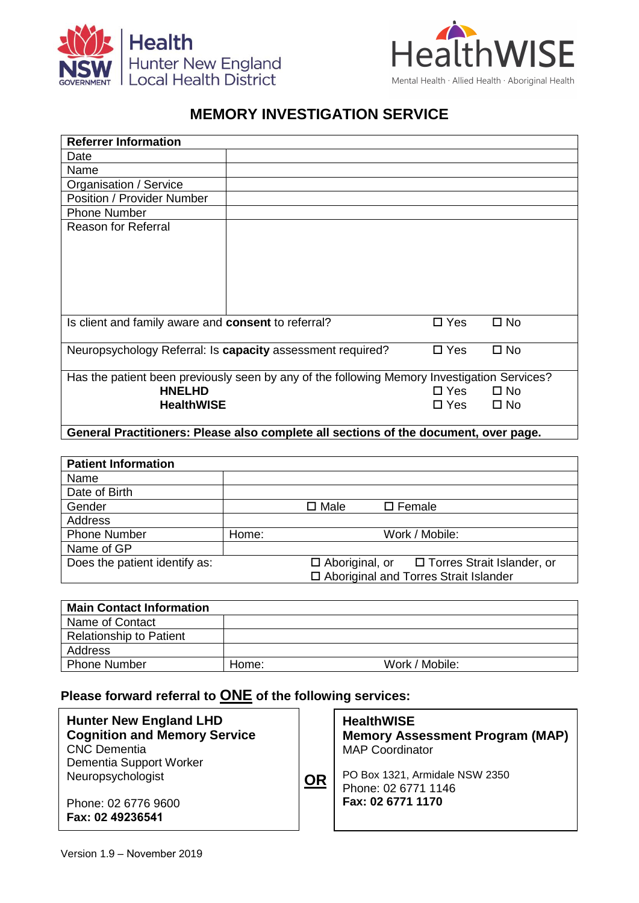

## **MEMORY INVESTIGATION SERVICE**

| <b>Referrer Information</b>                                                                 |               |              |  |  |  |
|---------------------------------------------------------------------------------------------|---------------|--------------|--|--|--|
| Date                                                                                        |               |              |  |  |  |
| Name                                                                                        |               |              |  |  |  |
| Organisation / Service                                                                      |               |              |  |  |  |
| Position / Provider Number                                                                  |               |              |  |  |  |
| <b>Phone Number</b>                                                                         |               |              |  |  |  |
| <b>Reason for Referral</b>                                                                  |               |              |  |  |  |
|                                                                                             |               |              |  |  |  |
|                                                                                             |               |              |  |  |  |
|                                                                                             |               |              |  |  |  |
|                                                                                             |               |              |  |  |  |
| Is client and family aware and <b>consent</b> to referral?                                  | $\Box$ Yes    | $\square$ No |  |  |  |
| Neuropsychology Referral: Is capacity assessment required?                                  | $\square$ Yes | $\square$ No |  |  |  |
| Has the patient been previously seen by any of the following Memory Investigation Services? |               |              |  |  |  |
| <b>HNELHD</b>                                                                               | $\square$ Yes | $\Box$ No    |  |  |  |
| <b>HealthWISE</b>                                                                           | □ Yes         | $\square$ No |  |  |  |
| General Practitioners: Please also complete all sections of the document, over page.        |               |              |  |  |  |

| <b>Patient Information</b>    |                         |                                                       |
|-------------------------------|-------------------------|-------------------------------------------------------|
| Name                          |                         |                                                       |
| Date of Birth                 |                         |                                                       |
| Gender                        |                         | $\square$ Male<br>$\square$ Female                    |
| Address                       |                         |                                                       |
| <b>Phone Number</b>           | Work / Mobile:<br>Home: |                                                       |
| Name of GP                    |                         |                                                       |
| Does the patient identify as: |                         | □ Torres Strait Islander, or<br>$\Box$ Aboriginal, or |
|                               |                         | □ Aboriginal and Torres Strait Islander               |

| <b>Main Contact Information</b> |       |                |  |
|---------------------------------|-------|----------------|--|
| Name of Contact                 |       |                |  |
| <b>Relationship to Patient</b>  |       |                |  |
| Address                         |       |                |  |
| <b>Phone Number</b>             | Home: | Work / Mobile: |  |

## **Please forward referral to ONE of the following services:**

**OR Hunter New England LHD Cognition and Memory Service** CNC Dementia Dementia Support Worker Neuropsychologist Phone: 02 6776 9600 **Fax: 02 49236541 HealthWISE Memory Assessment Program (MAP)** MAP Coordinator PO Box 1321, Armidale NSW 2350 Phone: 02 6771 1146 **Fax: 02 6771 1170 Or via Medical Objects**